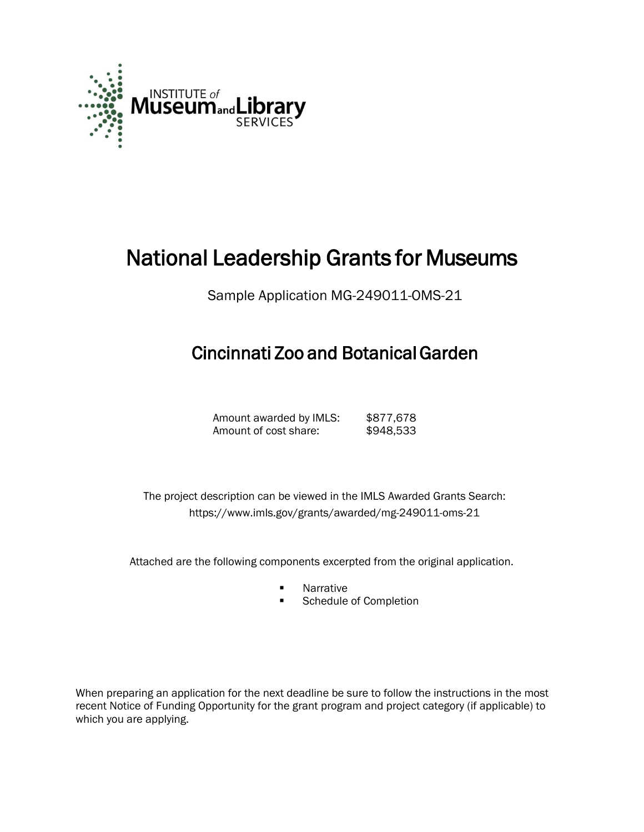

# National Leadership Grants for Museums

Sample Application MG-249011-OMS-21

## Cincinnati Zoo and Botanical Garden

Amount awarded by IMLS: \$877,678 Amount of cost share: \$948,533

 The project description can be viewed in the IMLS Awarded Grants Search: <https://www.imls.gov/grants/awarded/mg-249011-oms-21>

Attached are the following components excerpted from the original application.

- **Narrative**
- **Schedule of Completion**

When preparing an application for the next deadline be sure to follow the instructions in the most recent Notice of Funding Opportunity for the grant program and project category (if applicable) to which you are applying.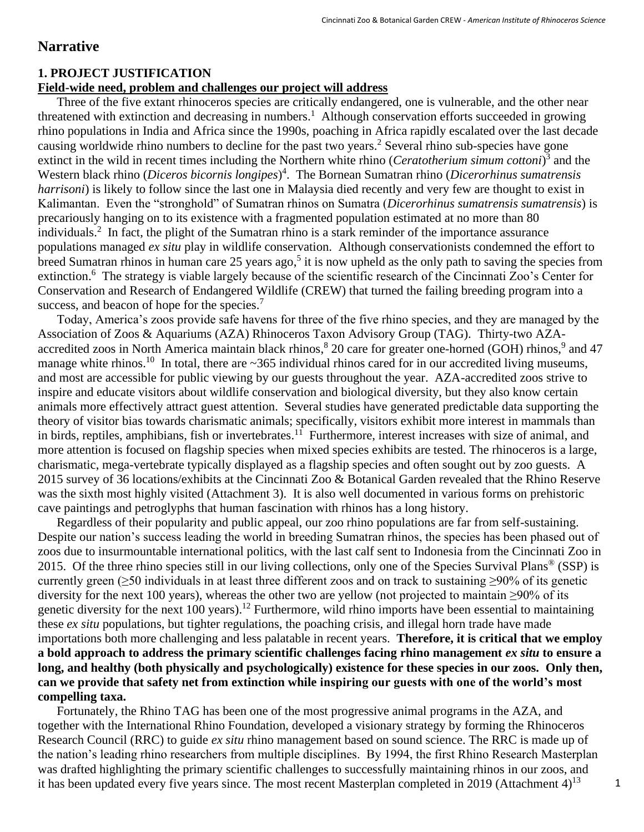#### **Narrative**

#### **1. PROJECT JUSTIFICATION**

#### **Field-wide need, problem and challenges our project will address**

Three of the five extant rhinoceros species are critically endangered, one is vulnerable, and the other near threatened with extinction and decreasing in numbers.<sup>1</sup> Although conservation efforts succeeded in growing rhino populations in India and Africa since the 1990s, poaching in Africa rapidly escalated over the last decade causing worldwide rhino numbers to decline for the past two years. <sup>2</sup> Several rhino sub-species have gone extinct in the wild in recent times including the Northern white rhino (*Ceratotherium simum cottoni*) 3 and the Western black rhino (*Diceros bicornis longipes*) 4 . The Bornean Sumatran rhino (*Dicerorhinus sumatrensis harrisoni*) is likely to follow since the last one in Malaysia died recently and very few are thought to exist in Kalimantan. Even the "stronghold" of Sumatran rhinos on Sumatra (*Dicerorhinus sumatrensis sumatrensis*) is precariously hanging on to its existence with a fragmented population estimated at no more than 80 individuals. 2 In fact, the plight of the Sumatran rhino is a stark reminder of the importance assurance populations managed *ex situ* play in wildlife conservation. Although conservationists condemned the effort to breed Sumatran rhinos in human care 25 years ago,<sup>5</sup> it is now upheld as the only path to saving the species from extinction.<sup>6</sup> The strategy is viable largely because of the scientific research of the Cincinnati Zoo's Center for Conservation and Research of Endangered Wildlife (CREW) that turned the failing breeding program into a success, and beacon of hope for the species.<sup>7</sup>

Today, America's zoos provide safe havens for three of the five rhino species, and they are managed by the Association of Zoos & Aquariums (AZA) Rhinoceros Taxon Advisory Group (TAG). Thirty-two AZAaccredited zoos in North America maintain black rhinos,<sup>8</sup> 20 care for greater one-horned (GOH) rhinos,<sup>9</sup> and 47 manage white rhinos.<sup>10</sup> In total, there are ~365 individual rhinos cared for in our accredited living museums, and most are accessible for public viewing by our guests throughout the year. AZA-accredited zoos strive to inspire and educate visitors about wildlife conservation and biological diversity, but they also know certain animals more effectively attract guest attention. Several studies have generated predictable data supporting the theory of visitor bias towards charismatic animals; specifically, visitors exhibit more interest in mammals than in birds, reptiles, amphibians, fish or invertebrates.<sup>11</sup> Furthermore, interest increases with size of animal, and more attention is focused on flagship species when mixed species exhibits are tested. The rhinoceros is a large, charismatic, mega-vertebrate typically displayed as a flagship species and often sought out by zoo guests. A 2015 survey of 36 locations/exhibits at the Cincinnati Zoo & Botanical Garden revealed that the Rhino Reserve was the sixth most highly visited (Attachment 3). It is also well documented in various forms on prehistoric cave paintings and petroglyphs that human fascination with rhinos has a long history.

Regardless of their popularity and public appeal, our zoo rhino populations are far from self-sustaining. Despite our nation's success leading the world in breeding Sumatran rhinos, the species has been phased out of zoos due to insurmountable international politics, with the last calf sent to Indonesia from the Cincinnati Zoo in 2015. Of the three rhino species still in our living collections, only one of the Species Survival Plans<sup>®</sup> (SSP) is currently green ( $\geq$ 50 individuals in at least three different zoos and on track to sustaining  $\geq$ 90% of its genetic diversity for the next 100 years), whereas the other two are yellow (not projected to maintain  $\geq 90\%$  of its genetic diversity for the next 100 years).<sup>12</sup> Furthermore, wild rhino imports have been essential to maintaining these *ex situ* populations, but tighter regulations, the poaching crisis, and illegal horn trade have made importations both more challenging and less palatable in recent years. **Therefore, it is critical that we employ a bold approach to address the primary scientific challenges facing rhino management** *ex situ* **to ensure a long, and healthy (both physically and psychologically) existence for these species in our zoos. Only then, can we provide that safety net from extinction while inspiring our guests with one of the world's most compelling taxa.** 

Fortunately, the Rhino TAG has been one of the most progressive animal programs in the AZA, and together with the International Rhino Foundation, developed a visionary strategy by forming the Rhinoceros Research Council (RRC) to guide *ex situ* rhino management based on sound science. The RRC is made up of the nation's leading rhino researchers from multiple disciplines. By 1994, the first Rhino Research Masterplan was drafted highlighting the primary scientific challenges to successfully maintaining rhinos in our zoos, and it has been updated every five years since. The most recent Masterplan completed in 2019 (Attachment  $4$ )<sup>13</sup>  $1$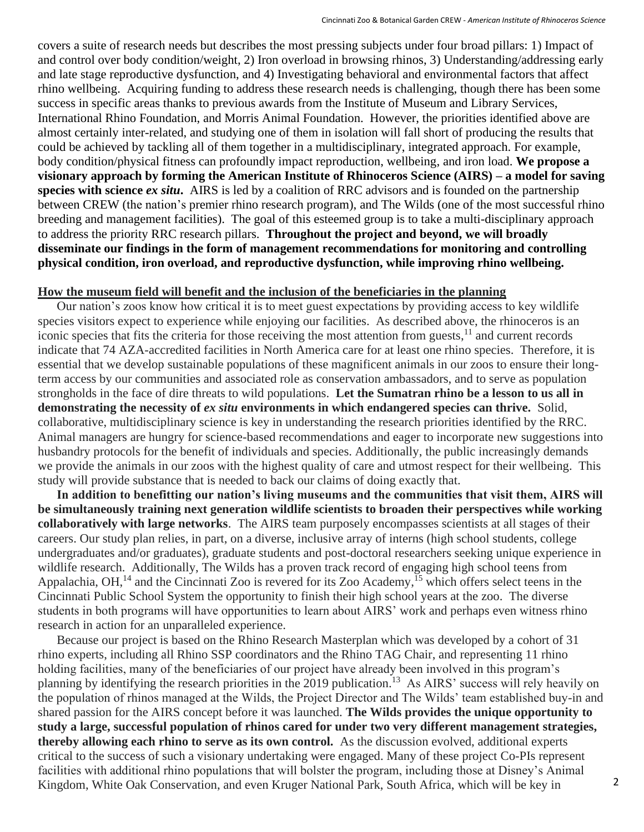covers a suite of research needs but describes the most pressing subjects under four broad pillars: 1) Impact of and control over body condition/weight, 2) Iron overload in browsing rhinos, 3) Understanding/addressing early and late stage reproductive dysfunction, and 4) Investigating behavioral and environmental factors that affect rhino wellbeing. Acquiring funding to address these research needs is challenging, though there has been some success in specific areas thanks to previous awards from the Institute of Museum and Library Services, International Rhino Foundation, and Morris Animal Foundation. However, the priorities identified above are almost certainly inter-related, and studying one of them in isolation will fall short of producing the results that could be achieved by tackling all of them together in a multidisciplinary, integrated approach. For example, body condition/physical fitness can profoundly impact reproduction, wellbeing, and iron load. **We propose a visionary approach by forming the American Institute of Rhinoceros Science (AIRS) – a model for saving species with science** *ex situ***.** AIRS is led by a coalition of RRC advisors and is founded on the partnership between CREW (the nation's premier rhino research program), and The Wilds (one of the most successful rhino breeding and management facilities). The goal of this esteemed group is to take a multi-disciplinary approach to address the priority RRC research pillars. **Throughout the project and beyond, we will broadly disseminate our findings in the form of management recommendations for monitoring and controlling physical condition, iron overload, and reproductive dysfunction, while improving rhino wellbeing.**

#### **How the museum field will benefit and the inclusion of the beneficiaries in the planning**

Our nation's zoos know how critical it is to meet guest expectations by providing access to key wildlife species visitors expect to experience while enjoying our facilities. As described above, the rhinoceros is an iconic species that fits the criteria for those receiving the most attention from guests,<sup>11</sup> and current records indicate that 74 AZA-accredited facilities in North America care for at least one rhino species. Therefore, it is essential that we develop sustainable populations of these magnificent animals in our zoos to ensure their longterm access by our communities and associated role as conservation ambassadors, and to serve as population strongholds in the face of dire threats to wild populations. **Let the Sumatran rhino be a lesson to us all in demonstrating the necessity of** *ex situ* **environments in which endangered species can thrive.** Solid, collaborative, multidisciplinary science is key in understanding the research priorities identified by the RRC. Animal managers are hungry for science-based recommendations and eager to incorporate new suggestions into husbandry protocols for the benefit of individuals and species. Additionally, the public increasingly demands we provide the animals in our zoos with the highest quality of care and utmost respect for their wellbeing. This study will provide substance that is needed to back our claims of doing exactly that.

**In addition to benefitting our nation's living museums and the communities that visit them, AIRS will be simultaneously training next generation wildlife scientists to broaden their perspectives while working collaboratively with large networks**. The AIRS team purposely encompasses scientists at all stages of their careers. Our study plan relies, in part, on a diverse, inclusive array of interns (high school students, college undergraduates and/or graduates), graduate students and post-doctoral researchers seeking unique experience in wildlife research. Additionally, The Wilds has a proven track record of engaging high school teens from Appalachia, OH,<sup>14</sup> and the Cincinnati Zoo is revered for its Zoo Academy,<sup>15</sup> which offers select teens in the Cincinnati Public School System the opportunity to finish their high school years at the zoo. The diverse students in both programs will have opportunities to learn about AIRS' work and perhaps even witness rhino research in action for an unparalleled experience.

Because our project is based on the Rhino Research Masterplan which was developed by a cohort of 31 rhino experts, including all Rhino SSP coordinators and the Rhino TAG Chair, and representing 11 rhino holding facilities, many of the beneficiaries of our project have already been involved in this program's planning by identifying the research priorities in the 2019 publication.<sup>13</sup> As AIRS' success will rely heavily on the population of rhinos managed at the Wilds, the Project Director and The Wilds' team established buy-in and shared passion for the AIRS concept before it was launched. **The Wilds provides the unique opportunity to study a large, successful population of rhinos cared for under two very different management strategies, thereby allowing each rhino to serve as its own control.** As the discussion evolved, additional experts critical to the success of such a visionary undertaking were engaged. Many of these project Co-PIs represent facilities with additional rhino populations that will bolster the program, including those at Disney's Animal Kingdom, White Oak Conservation, and even Kruger National Park, South Africa, which will be key in 2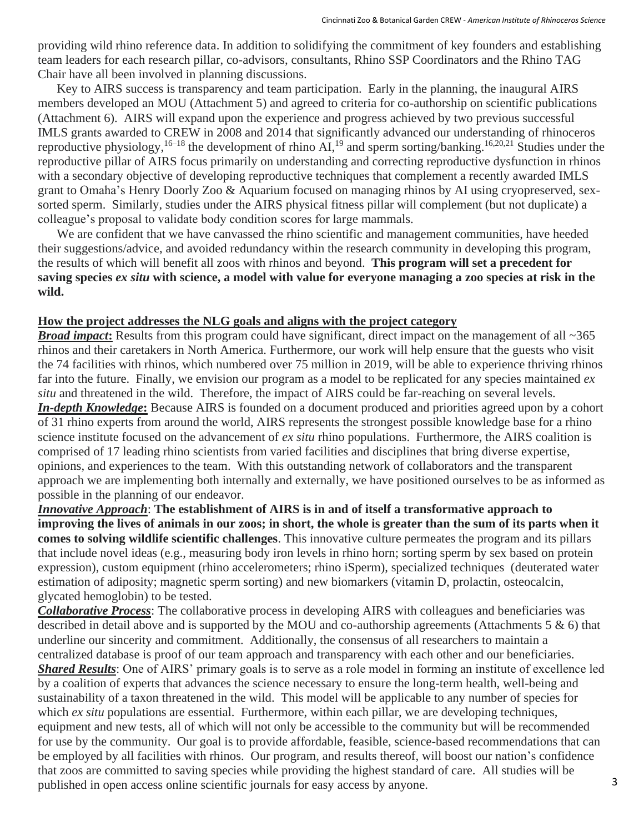providing wild rhino reference data. In addition to solidifying the commitment of key founders and establishing team leaders for each research pillar, co-advisors, consultants, Rhino SSP Coordinators and the Rhino TAG Chair have all been involved in planning discussions.

Key to AIRS success is transparency and team participation. Early in the planning, the inaugural AIRS members developed an MOU (Attachment 5) and agreed to criteria for co-authorship on scientific publications (Attachment 6). AIRS will expand upon the experience and progress achieved by two previous successful IMLS grants awarded to CREW in 2008 and 2014 that significantly advanced our understanding of rhinoceros reproductive physiology,  $16-18$  the development of rhino AI,  $19$  and sperm sorting/banking.  $16,20,21$  Studies under the reproductive pillar of AIRS focus primarily on understanding and correcting reproductive dysfunction in rhinos with a secondary objective of developing reproductive techniques that complement a recently awarded IMLS grant to Omaha's Henry Doorly Zoo & Aquarium focused on managing rhinos by AI using cryopreserved, sexsorted sperm. Similarly, studies under the AIRS physical fitness pillar will complement (but not duplicate) a colleague's proposal to validate body condition scores for large mammals.

We are confident that we have canvassed the rhino scientific and management communities, have heeded their suggestions/advice, and avoided redundancy within the research community in developing this program, the results of which will benefit all zoos with rhinos and beyond. **This program will set a precedent for saving species** *ex situ* **with science, a model with value for everyone managing a zoo species at risk in the wild.**

#### **How the project addresses the NLG goals and aligns with the project category**

*Broad impact*: Results from this program could have significant, direct impact on the management of all ~365 rhinos and their caretakers in North America. Furthermore, our work will help ensure that the guests who visit the 74 facilities with rhinos, which numbered over 75 million in 2019, will be able to experience thriving rhinos far into the future. Finally, we envision our program as a model to be replicated for any species maintained *ex situ* and threatened in the wild. Therefore, the impact of AIRS could be far-reaching on several levels. *In-depth Knowledge***:** Because AIRS is founded on a document produced and priorities agreed upon by a cohort of 31 rhino experts from around the world, AIRS represents the strongest possible knowledge base for a rhino science institute focused on the advancement of *ex situ* rhino populations. Furthermore, the AIRS coalition is comprised of 17 leading rhino scientists from varied facilities and disciplines that bring diverse expertise, opinions, and experiences to the team. With this outstanding network of collaborators and the transparent approach we are implementing both internally and externally, we have positioned ourselves to be as informed as possible in the planning of our endeavor.

*Innovative Approach*: **The establishment of AIRS is in and of itself a transformative approach to improving the lives of animals in our zoos; in short, the whole is greater than the sum of its parts when it comes to solving wildlife scientific challenges**. This innovative culture permeates the program and its pillars that include novel ideas (e.g., measuring body iron levels in rhino horn; sorting sperm by sex based on protein expression), custom equipment (rhino accelerometers; rhino iSperm), specialized techniques (deuterated water estimation of adiposity; magnetic sperm sorting) and new biomarkers (vitamin D, prolactin, osteocalcin, glycated hemoglobin) to be tested.

*Collaborative Process*: The collaborative process in developing AIRS with colleagues and beneficiaries was described in detail above and is supported by the MOU and co-authorship agreements (Attachments 5 & 6) that underline our sincerity and commitment. Additionally, the consensus of all researchers to maintain a centralized database is proof of our team approach and transparency with each other and our beneficiaries. *Shared Results*: One of AIRS' primary goals is to serve as a role model in forming an institute of excellence led by a coalition of experts that advances the science necessary to ensure the long-term health, well-being and sustainability of a taxon threatened in the wild. This model will be applicable to any number of species for which *ex situ* populations are essential. Furthermore, within each pillar, we are developing techniques, equipment and new tests, all of which will not only be accessible to the community but will be recommended for use by the community. Our goal is to provide affordable, feasible, science-based recommendations that can be employed by all facilities with rhinos. Our program, and results thereof, will boost our nation's confidence that zoos are committed to saving species while providing the highest standard of care. All studies will be published in open access online scientific journals for easy access by anyone. 3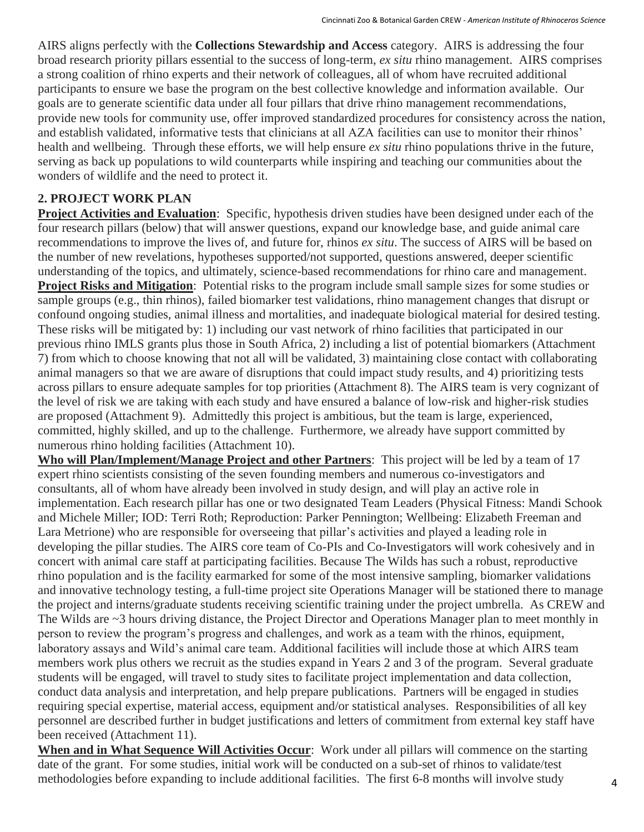AIRS aligns perfectly with the **Collections Stewardship and Access** category. AIRS is addressing the four broad research priority pillars essential to the success of long-term, *ex situ* rhino management. AIRS comprises a strong coalition of rhino experts and their network of colleagues, all of whom have recruited additional participants to ensure we base the program on the best collective knowledge and information available. Our goals are to generate scientific data under all four pillars that drive rhino management recommendations, provide new tools for community use, offer improved standardized procedures for consistency across the nation, and establish validated, informative tests that clinicians at all AZA facilities can use to monitor their rhinos' health and wellbeing. Through these efforts, we will help ensure *ex situ* rhino populations thrive in the future, serving as back up populations to wild counterparts while inspiring and teaching our communities about the wonders of wildlife and the need to protect it.

#### **2. PROJECT WORK PLAN**

**Project Activities and Evaluation**: Specific, hypothesis driven studies have been designed under each of the four research pillars (below) that will answer questions, expand our knowledge base, and guide animal care recommendations to improve the lives of, and future for, rhinos *ex situ*. The success of AIRS will be based on the number of new revelations, hypotheses supported/not supported, questions answered, deeper scientific understanding of the topics, and ultimately, science-based recommendations for rhino care and management. **Project Risks and Mitigation**: Potential risks to the program include small sample sizes for some studies or sample groups (e.g., thin rhinos), failed biomarker test validations, rhino management changes that disrupt or confound ongoing studies, animal illness and mortalities, and inadequate biological material for desired testing. These risks will be mitigated by: 1) including our vast network of rhino facilities that participated in our previous rhino IMLS grants plus those in South Africa, 2) including a list of potential biomarkers (Attachment 7) from which to choose knowing that not all will be validated, 3) maintaining close contact with collaborating animal managers so that we are aware of disruptions that could impact study results, and 4) prioritizing tests across pillars to ensure adequate samples for top priorities (Attachment 8). The AIRS team is very cognizant of the level of risk we are taking with each study and have ensured a balance of low-risk and higher-risk studies are proposed (Attachment 9). Admittedly this project is ambitious, but the team is large, experienced, committed, highly skilled, and up to the challenge. Furthermore, we already have support committed by numerous rhino holding facilities (Attachment 10).

**Who will Plan/Implement/Manage Project and other Partners**: This project will be led by a team of 17 expert rhino scientists consisting of the seven founding members and numerous co-investigators and consultants, all of whom have already been involved in study design, and will play an active role in implementation. Each research pillar has one or two designated Team Leaders (Physical Fitness: Mandi Schook and Michele Miller; IOD: Terri Roth; Reproduction: Parker Pennington; Wellbeing: Elizabeth Freeman and Lara Metrione) who are responsible for overseeing that pillar's activities and played a leading role in developing the pillar studies. The AIRS core team of Co-PIs and Co-Investigators will work cohesively and in concert with animal care staff at participating facilities. Because The Wilds has such a robust, reproductive rhino population and is the facility earmarked for some of the most intensive sampling, biomarker validations and innovative technology testing, a full-time project site Operations Manager will be stationed there to manage the project and interns/graduate students receiving scientific training under the project umbrella. As CREW and The Wilds are ~3 hours driving distance, the Project Director and Operations Manager plan to meet monthly in person to review the program's progress and challenges, and work as a team with the rhinos, equipment, laboratory assays and Wild's animal care team. Additional facilities will include those at which AIRS team members work plus others we recruit as the studies expand in Years 2 and 3 of the program. Several graduate students will be engaged, will travel to study sites to facilitate project implementation and data collection, conduct data analysis and interpretation, and help prepare publications. Partners will be engaged in studies requiring special expertise, material access, equipment and/or statistical analyses. Responsibilities of all key personnel are described further in budget justifications and letters of commitment from external key staff have been received (Attachment 11).

**When and in What Sequence Will Activities Occur**: Work under all pillars will commence on the starting date of the grant. For some studies, initial work will be conducted on a sub-set of rhinos to validate/test methodologies before expanding to include additional facilities. The first 6-8 months will involve study  $\overline{4}$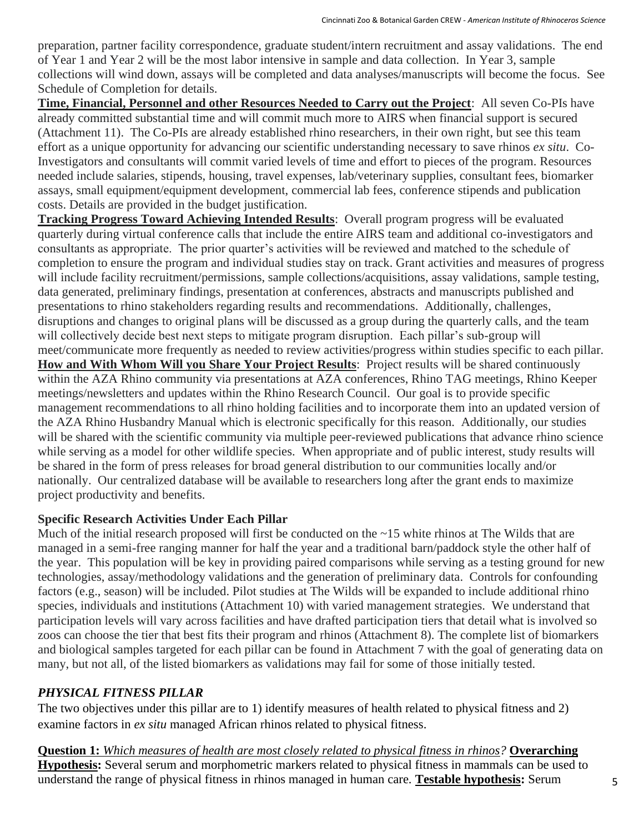preparation, partner facility correspondence, graduate student/intern recruitment and assay validations. The end of Year 1 and Year 2 will be the most labor intensive in sample and data collection. In Year 3, sample collections will wind down, assays will be completed and data analyses/manuscripts will become the focus. See Schedule of Completion for details.

**Time, Financial, Personnel and other Resources Needed to Carry out the Project**: All seven Co-PIs have already committed substantial time and will commit much more to AIRS when financial support is secured (Attachment 11). The Co-PIs are already established rhino researchers, in their own right, but see this team effort as a unique opportunity for advancing our scientific understanding necessary to save rhinos *ex situ*. Co-Investigators and consultants will commit varied levels of time and effort to pieces of the program. Resources needed include salaries, stipends, housing, travel expenses, lab/veterinary supplies, consultant fees, biomarker assays, small equipment/equipment development, commercial lab fees, conference stipends and publication costs. Details are provided in the budget justification.

**Tracking Progress Toward Achieving Intended Results**: Overall program progress will be evaluated quarterly during virtual conference calls that include the entire AIRS team and additional co-investigators and consultants as appropriate. The prior quarter's activities will be reviewed and matched to the schedule of completion to ensure the program and individual studies stay on track. Grant activities and measures of progress will include facility recruitment/permissions, sample collections/acquisitions, assay validations, sample testing, data generated, preliminary findings, presentation at conferences, abstracts and manuscripts published and presentations to rhino stakeholders regarding results and recommendations. Additionally, challenges, disruptions and changes to original plans will be discussed as a group during the quarterly calls, and the team will collectively decide best next steps to mitigate program disruption. Each pillar's sub-group will meet/communicate more frequently as needed to review activities/progress within studies specific to each pillar. **How and With Whom Will you Share Your Project Results**: Project results will be shared continuously within the AZA Rhino community via presentations at AZA conferences, Rhino TAG meetings, Rhino Keeper meetings/newsletters and updates within the Rhino Research Council. Our goal is to provide specific management recommendations to all rhino holding facilities and to incorporate them into an updated version of the AZA Rhino Husbandry Manual which is electronic specifically for this reason. Additionally, our studies will be shared with the scientific community via multiple peer-reviewed publications that advance rhino science while serving as a model for other wildlife species. When appropriate and of public interest, study results will be shared in the form of press releases for broad general distribution to our communities locally and/or nationally. Our centralized database will be available to researchers long after the grant ends to maximize project productivity and benefits.

#### **Specific Research Activities Under Each Pillar**

Much of the initial research proposed will first be conducted on the ~15 white rhinos at The Wilds that are managed in a semi-free ranging manner for half the year and a traditional barn/paddock style the other half of the year. This population will be key in providing paired comparisons while serving as a testing ground for new technologies, assay/methodology validations and the generation of preliminary data. Controls for confounding factors (e.g., season) will be included. Pilot studies at The Wilds will be expanded to include additional rhino species, individuals and institutions (Attachment 10) with varied management strategies. We understand that participation levels will vary across facilities and have drafted participation tiers that detail what is involved so zoos can choose the tier that best fits their program and rhinos (Attachment 8). The complete list of biomarkers and biological samples targeted for each pillar can be found in Attachment 7 with the goal of generating data on many, but not all, of the listed biomarkers as validations may fail for some of those initially tested.

#### *PHYSICAL FITNESS PILLAR*

The two objectives under this pillar are to 1) identify measures of health related to physical fitness and 2) examine factors in *ex situ* managed African rhinos related to physical fitness.

**Question 1:** *Which measures of health are most closely related to physical fitness in rhinos?* **Overarching Hypothesis:** Several serum and morphometric markers related to physical fitness in mammals can be used to understand the range of physical fitness in rhinos managed in human care. **Testable hypothesis:** Serum 5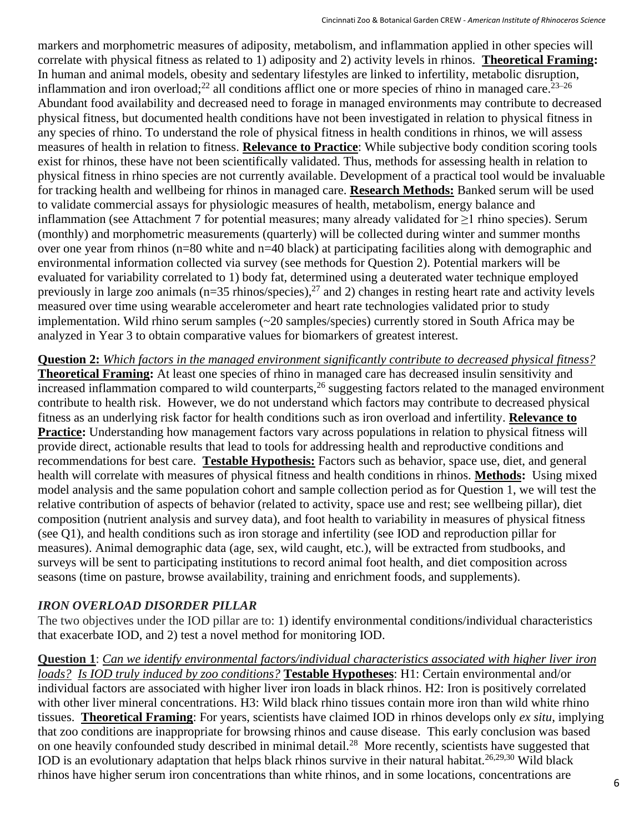markers and morphometric measures of adiposity, metabolism, and inflammation applied in other species will correlate with physical fitness as related to 1) adiposity and 2) activity levels in rhinos. **Theoretical Framing:** In human and animal models, obesity and sedentary lifestyles are linked to infertility, metabolic disruption, inflammation and iron overload;<sup>22</sup> all conditions afflict one or more species of rhino in managed care.<sup>23–26</sup> Abundant food availability and decreased need to forage in managed environments may contribute to decreased physical fitness, but documented health conditions have not been investigated in relation to physical fitness in any species of rhino. To understand the role of physical fitness in health conditions in rhinos, we will assess measures of health in relation to fitness. **Relevance to Practice**: While subjective body condition scoring tools exist for rhinos, these have not been scientifically validated. Thus, methods for assessing health in relation to physical fitness in rhino species are not currently available. Development of a practical tool would be invaluable for tracking health and wellbeing for rhinos in managed care. **Research Methods:** Banked serum will be used to validate commercial assays for physiologic measures of health, metabolism, energy balance and inflammation (see Attachment 7 for potential measures; many already validated for ≥1 rhino species). Serum (monthly) and morphometric measurements (quarterly) will be collected during winter and summer months over one year from rhinos (n=80 white and n=40 black) at participating facilities along with demographic and environmental information collected via survey (see methods for Question 2). Potential markers will be evaluated for variability correlated to 1) body fat, determined using a deuterated water technique employed previously in large zoo animals ( $n=35$  rhinos/species),<sup>27</sup> and 2) changes in resting heart rate and activity levels measured over time using wearable accelerometer and heart rate technologies validated prior to study implementation. Wild rhino serum samples (~20 samples/species) currently stored in South Africa may be analyzed in Year 3 to obtain comparative values for biomarkers of greatest interest.

**Question 2:** *Which factors in the managed environment significantly contribute to decreased physical fitness?* **Theoretical Framing:** At least one species of rhino in managed care has decreased insulin sensitivity and  $line$  increased inflammation compared to wild counterparts,<sup>26</sup> suggesting factors related to the managed environment contribute to health risk. However, we do not understand which factors may contribute to decreased physical fitness as an underlying risk factor for health conditions such as iron overload and infertility. **Relevance to Practice:** Understanding how management factors vary across populations in relation to physical fitness will provide direct, actionable results that lead to tools for addressing health and reproductive conditions and recommendations for best care. **Testable Hypothesis:** Factors such as behavior, space use, diet, and general health will correlate with measures of physical fitness and health conditions in rhinos. **Methods:** Using mixed model analysis and the same population cohort and sample collection period as for Question 1, we will test the relative contribution of aspects of behavior (related to activity, space use and rest; see wellbeing pillar), diet composition (nutrient analysis and survey data), and foot health to variability in measures of physical fitness (see Q1), and health conditions such as iron storage and infertility (see IOD and reproduction pillar for measures). Animal demographic data (age, sex, wild caught, etc.), will be extracted from studbooks, and surveys will be sent to participating institutions to record animal foot health, and diet composition across seasons (time on pasture, browse availability, training and enrichment foods, and supplements).

## *IRON OVERLOAD DISORDER PILLAR*

The two objectives under the IOD pillar are to: 1) identify environmental conditions/individual characteristics that exacerbate IOD, and 2) test a novel method for monitoring IOD.

**Question 1**: *Can we identify environmental factors/individual characteristics associated with higher liver iron loads? Is IOD truly induced by zoo conditions?* **Testable Hypotheses**: H1: Certain environmental and/or individual factors are associated with higher liver iron loads in black rhinos. H2: Iron is positively correlated with other liver mineral concentrations. H3: Wild black rhino tissues contain more iron than wild white rhino tissues. **Theoretical Framing**: For years, scientists have claimed IOD in rhinos develops only *ex situ*, implying that zoo conditions are inappropriate for browsing rhinos and cause disease. This early conclusion was based on one heavily confounded study described in minimal detail.<sup>28</sup> More recently, scientists have suggested that IOD is an evolutionary adaptation that helps black rhinos survive in their natural habitat.<sup>26,29,30</sup> Wild black rhinos have higher serum iron concentrations than white rhinos, and in some locations, concentrations are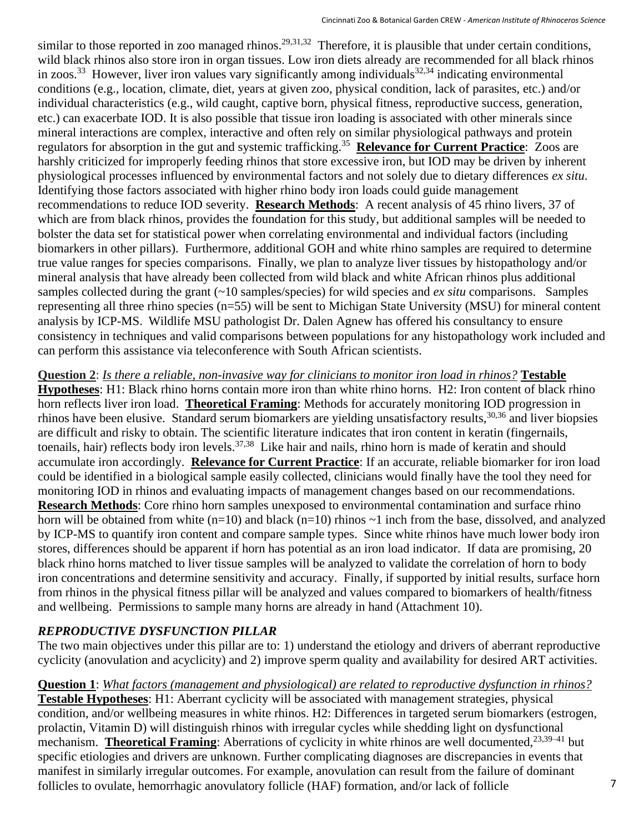similar to those reported in zoo managed rhinos.<sup>29,31,32</sup> Therefore, it is plausible that under certain conditions, wild black rhinos also store iron in organ tissues. Low iron diets already are recommended for all black rhinos in zoos.<sup>33</sup> However, liver iron values vary significantly among individuals<sup>32,34</sup> indicating environmental conditions (e.g., location, climate, diet, years at given zoo, physical condition, lack of parasites, etc.) and/or individual characteristics (e.g., wild caught, captive born, physical fitness, reproductive success, generation, etc.) can exacerbate IOD. It is also possible that tissue iron loading is associated with other minerals since mineral interactions are complex, interactive and often rely on similar physiological pathways and protein regulators for absorption in the gut and systemic trafficking.<sup>35</sup> **Relevance for Current Practice**: Zoos are harshly criticized for improperly feeding rhinos that store excessive iron, but IOD may be driven by inherent physiological processes influenced by environmental factors and not solely due to dietary differences *ex situ*. Identifying those factors associated with higher rhino body iron loads could guide management recommendations to reduce IOD severity. **Research Methods**: A recent analysis of 45 rhino livers, 37 of which are from black rhinos, provides the foundation for this study, but additional samples will be needed to bolster the data set for statistical power when correlating environmental and individual factors (including biomarkers in other pillars). Furthermore, additional GOH and white rhino samples are required to determine true value ranges for species comparisons. Finally, we plan to analyze liver tissues by histopathology and/or mineral analysis that have already been collected from wild black and white African rhinos plus additional samples collected during the grant (~10 samples/species) for wild species and *ex situ* comparisons. Samples representing all three rhino species (n=55) will be sent to Michigan State University (MSU) for mineral content analysis by ICP-MS. Wildlife MSU pathologist Dr. Dalen Agnew has offered his consultancy to ensure consistency in techniques and valid comparisons between populations for any histopathology work included and can perform this assistance via teleconference with South African scientists.

**Question 2**: *Is there a reliable, non-invasive way for clinicians to monitor iron load in rhinos?* **Testable Hypotheses**: H1: Black rhino horns contain more iron than white rhino horns. H2: Iron content of black rhino horn reflects liver iron load. **Theoretical Framing**: Methods for accurately monitoring IOD progression in rhinos have been elusive. Standard serum biomarkers are yielding unsatisfactory results,<sup>30,36</sup> and liver biopsies are difficult and risky to obtain. The scientific literature indicates that iron content in keratin (fingernails, toenails, hair) reflects body iron levels.<sup>37,38</sup> Like hair and nails, rhino horn is made of keratin and should accumulate iron accordingly. **Relevance for Current Practice**: If an accurate, reliable biomarker for iron load could be identified in a biological sample easily collected, clinicians would finally have the tool they need for monitoring IOD in rhinos and evaluating impacts of management changes based on our recommendations. **Research Methods**: Core rhino horn samples unexposed to environmental contamination and surface rhino horn will be obtained from white (n=10) and black (n=10) rhinos ~1 inch from the base, dissolved, and analyzed by ICP-MS to quantify iron content and compare sample types. Since white rhinos have much lower body iron stores, differences should be apparent if horn has potential as an iron load indicator. If data are promising, 20 black rhino horns matched to liver tissue samples will be analyzed to validate the correlation of horn to body iron concentrations and determine sensitivity and accuracy. Finally, if supported by initial results, surface horn from rhinos in the physical fitness pillar will be analyzed and values compared to biomarkers of health/fitness and wellbeing. Permissions to sample many horns are already in hand (Attachment 10).

## *REPRODUCTIVE DYSFUNCTION PILLAR*

The two main objectives under this pillar are to: 1) understand the etiology and drivers of aberrant reproductive cyclicity (anovulation and acyclicity) and 2) improve sperm quality and availability for desired ART activities.

**Question 1**: *What factors (management and physiological) are related to reproductive dysfunction in rhinos?* **Testable Hypotheses**: H1: Aberrant cyclicity will be associated with management strategies, physical condition, and/or wellbeing measures in white rhinos. H2: Differences in targeted serum biomarkers (estrogen, prolactin, Vitamin D) will distinguish rhinos with irregular cycles while shedding light on dysfunctional mechanism. **Theoretical Framing**: Aberrations of cyclicity in white rhinos are well documented,<sup>23,39–41</sup> but specific etiologies and drivers are unknown. Further complicating diagnoses are discrepancies in events that manifest in similarly irregular outcomes. For example, anovulation can result from the failure of dominant follicles to ovulate, hemorrhagic anovulatory follicle (HAF) formation, and/or lack of follicle 7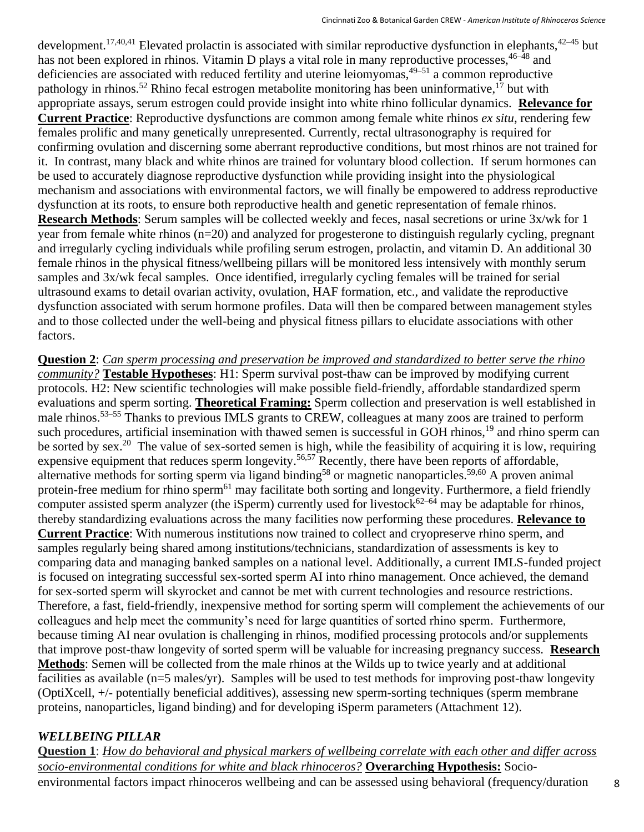development.<sup>17,40,41</sup> Elevated prolactin is associated with similar reproductive dysfunction in elephants,  $42-45$  but has not been explored in rhinos. Vitamin D plays a vital role in many reproductive processes,  $46-48$  and deficiencies are associated with reduced fertility and uterine leiomyomas, $49-51$  a common reproductive pathology in rhinos.<sup>52</sup> Rhino fecal estrogen metabolite monitoring has been uninformative, <sup>17</sup> but with appropriate assays, serum estrogen could provide insight into white rhino follicular dynamics. **Relevance for Current Practice**: Reproductive dysfunctions are common among female white rhinos *ex situ*, rendering few females prolific and many genetically unrepresented. Currently, rectal ultrasonography is required for confirming ovulation and discerning some aberrant reproductive conditions, but most rhinos are not trained for it. In contrast, many black and white rhinos are trained for voluntary blood collection. If serum hormones can be used to accurately diagnose reproductive dysfunction while providing insight into the physiological mechanism and associations with environmental factors, we will finally be empowered to address reproductive dysfunction at its roots, to ensure both reproductive health and genetic representation of female rhinos. **Research Methods**: Serum samples will be collected weekly and feces, nasal secretions or urine 3x/wk for 1 year from female white rhinos (n=20) and analyzed for progesterone to distinguish regularly cycling, pregnant and irregularly cycling individuals while profiling serum estrogen, prolactin, and vitamin D. An additional 30 female rhinos in the physical fitness/wellbeing pillars will be monitored less intensively with monthly serum samples and  $3x/wk$  fecal samples. Once identified, irregularly cycling females will be trained for serial ultrasound exams to detail ovarian activity, ovulation, HAF formation, etc., and validate the reproductive dysfunction associated with serum hormone profiles. Data will then be compared between management styles and to those collected under the well-being and physical fitness pillars to elucidate associations with other factors.

**Question 2**: *Can sperm processing and preservation be improved and standardized to better serve the rhino community?* **Testable Hypotheses**: H1: Sperm survival post-thaw can be improved by modifying current protocols. H2: New scientific technologies will make possible field-friendly, affordable standardized sperm evaluations and sperm sorting. **Theoretical Framing:** Sperm collection and preservation is well established in male rhinos.<sup>53–55</sup> Thanks to previous IMLS grants to CREW, colleagues at many zoos are trained to perform such procedures, artificial insemination with thawed semen is successful in GOH rhinos,<sup>19</sup> and rhino sperm can be sorted by sex.<sup>20</sup> The value of sex-sorted semen is high, while the feasibility of acquiring it is low, requiring expensive equipment that reduces sperm longevity.<sup>56,57</sup> Recently, there have been reports of affordable, alternative methods for sorting sperm via ligand binding<sup>58</sup> or magnetic nanoparticles.<sup>59,60</sup> A proven animal protein-free medium for rhino sperm<sup>61</sup> may facilitate both sorting and longevity. Furthermore, a field friendly computer assisted sperm analyzer (the iSperm) currently used for livestock $62-64$  may be adaptable for rhinos, thereby standardizing evaluations across the many facilities now performing these procedures. **Relevance to Current Practice**: With numerous institutions now trained to collect and cryopreserve rhino sperm, and samples regularly being shared among institutions/technicians, standardization of assessments is key to comparing data and managing banked samples on a national level. Additionally, a current IMLS-funded project is focused on integrating successful sex-sorted sperm AI into rhino management. Once achieved, the demand for sex-sorted sperm will skyrocket and cannot be met with current technologies and resource restrictions. Therefore, a fast, field-friendly, inexpensive method for sorting sperm will complement the achievements of our colleagues and help meet the community's need for large quantities of sorted rhino sperm. Furthermore, because timing AI near ovulation is challenging in rhinos, modified processing protocols and/or supplements that improve post-thaw longevity of sorted sperm will be valuable for increasing pregnancy success. **Research Methods**: Semen will be collected from the male rhinos at the Wilds up to twice yearly and at additional facilities as available (n=5 males/yr). Samples will be used to test methods for improving post-thaw longevity (OptiXcell, +/- potentially beneficial additives), assessing new sperm-sorting techniques (sperm membrane proteins, nanoparticles, ligand binding) and for developing iSperm parameters (Attachment 12).

## *WELLBEING PILLAR*

**Question 1**: *How do behavioral and physical markers of wellbeing correlate with each other and differ across socio-environmental conditions for white and black rhinoceros?* **Overarching Hypothesis:** Socioenvironmental factors impact rhinoceros wellbeing and can be assessed using behavioral (frequency/duration 8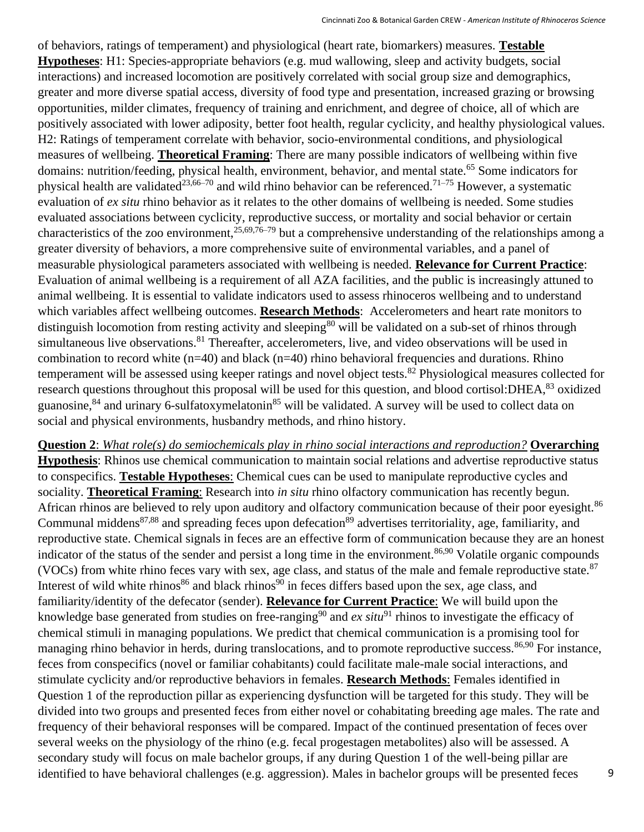of behaviors, ratings of temperament) and physiological (heart rate, biomarkers) measures. **Testable Hypotheses**: H1: Species-appropriate behaviors (e.g. mud wallowing, sleep and activity budgets, social interactions) and increased locomotion are positively correlated with social group size and demographics, greater and more diverse spatial access, diversity of food type and presentation, increased grazing or browsing opportunities, milder climates, frequency of training and enrichment, and degree of choice, all of which are positively associated with lower adiposity, better foot health, regular cyclicity, and healthy physiological values. H2: Ratings of temperament correlate with behavior, socio-environmental conditions, and physiological measures of wellbeing. **Theoretical Framing**: There are many possible indicators of wellbeing within five domains: nutrition/feeding, physical health, environment, behavior, and mental state.<sup>65</sup> Some indicators for physical health are validated<sup>23,66–70</sup> and wild rhino behavior can be referenced.<sup>71–75</sup> However, a systematic evaluation of *ex situ* rhino behavior as it relates to the other domains of wellbeing is needed. Some studies evaluated associations between cyclicity, reproductive success, or mortality and social behavior or certain characteristics of the zoo environment,  $25,69,76-79$  but a comprehensive understanding of the relationships among a greater diversity of behaviors, a more comprehensive suite of environmental variables, and a panel of measurable physiological parameters associated with wellbeing is needed. **Relevance for Current Practice**: Evaluation of animal wellbeing is a requirement of all AZA facilities, and the public is increasingly attuned to animal wellbeing. It is essential to validate indicators used to assess rhinoceros wellbeing and to understand which variables affect wellbeing outcomes. **Research Methods**: Accelerometers and heart rate monitors to distinguish locomotion from resting activity and sleeping<sup>80</sup> will be validated on a sub-set of rhinos through simultaneous live observations.<sup>81</sup> Thereafter, accelerometers, live, and video observations will be used in combination to record white (n=40) and black (n=40) rhino behavioral frequencies and durations. Rhino temperament will be assessed using keeper ratings and novel object tests.<sup>82</sup> Physiological measures collected for research questions throughout this proposal will be used for this question, and blood cortisol:DHEA,<sup>83</sup> oxidized guanosine,<sup>84</sup> and urinary 6-sulfatoxymelatonin<sup>85</sup> will be validated. A survey will be used to collect data on social and physical environments, husbandry methods, and rhino history.

**Question 2**: *What role(s) do semiochemicals play in rhino social interactions and reproduction?* **Overarching Hypothesis**: Rhinos use chemical communication to maintain social relations and advertise reproductive status to conspecifics. **Testable Hypotheses**: Chemical cues can be used to manipulate reproductive cycles and sociality. **Theoretical Framing**: Research into *in situ* rhino olfactory communication has recently begun. African rhinos are believed to rely upon auditory and olfactory communication because of their poor eyesight.<sup>86</sup> Communal middens<sup>87,88</sup> and spreading feces upon defecation<sup>89</sup> advertises territoriality, age, familiarity, and reproductive state. Chemical signals in feces are an effective form of communication because they are an honest indicator of the status of the sender and persist a long time in the environment.<sup>86,90</sup> Volatile organic compounds (VOCs) from white rhino feces vary with sex, age class, and status of the male and female reproductive state.<sup>87</sup> Interest of wild white rhinos<sup>86</sup> and black rhinos<sup>90</sup> in feces differs based upon the sex, age class, and familiarity/identity of the defecator (sender). **Relevance for Current Practice**: We will build upon the knowledge base generated from studies on free-ranging<sup>90</sup> and *ex situ*<sup>91</sup> rhinos to investigate the efficacy of chemical stimuli in managing populations. We predict that chemical communication is a promising tool for managing rhino behavior in herds, during translocations, and to promote reproductive success.<sup>86,90</sup> For instance, feces from conspecifics (novel or familiar cohabitants) could facilitate male-male social interactions, and stimulate cyclicity and/or reproductive behaviors in females. **Research Methods**: Females identified in Question 1 of the reproduction pillar as experiencing dysfunction will be targeted for this study. They will be divided into two groups and presented feces from either novel or cohabitating breeding age males. The rate and frequency of their behavioral responses will be compared. Impact of the continued presentation of feces over several weeks on the physiology of the rhino (e.g. fecal progestagen metabolites) also will be assessed. A secondary study will focus on male bachelor groups, if any during Question 1 of the well-being pillar are identified to have behavioral challenges (e.g. aggression). Males in bachelor groups will be presented feces 9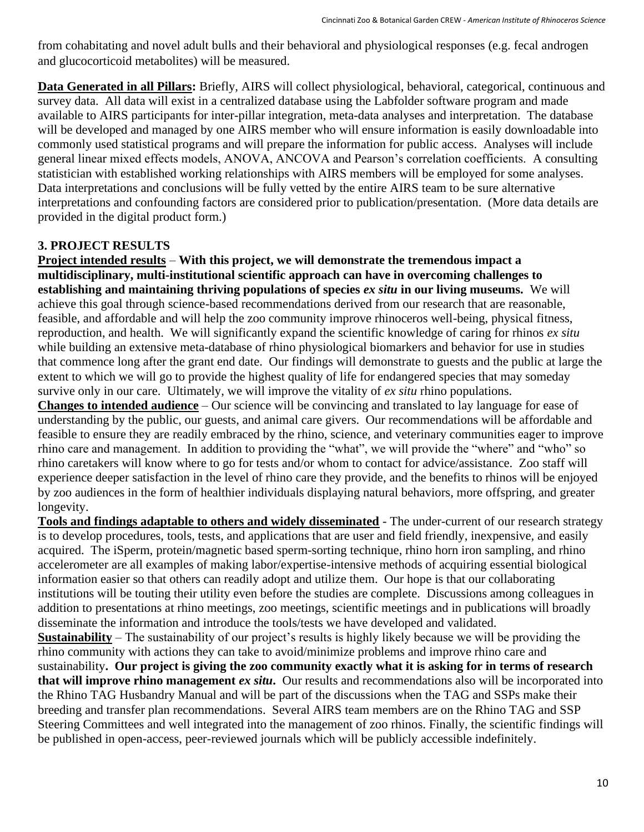from cohabitating and novel adult bulls and their behavioral and physiological responses (e.g. fecal androgen and glucocorticoid metabolites) will be measured.

**Data Generated in all Pillars:** Briefly, AIRS will collect physiological, behavioral, categorical, continuous and survey data. All data will exist in a centralized database using the Labfolder software program and made available to AIRS participants for inter-pillar integration, meta-data analyses and interpretation. The database will be developed and managed by one AIRS member who will ensure information is easily downloadable into commonly used statistical programs and will prepare the information for public access. Analyses will include general linear mixed effects models, ANOVA, ANCOVA and Pearson's correlation coefficients. A consulting statistician with established working relationships with AIRS members will be employed for some analyses. Data interpretations and conclusions will be fully vetted by the entire AIRS team to be sure alternative interpretations and confounding factors are considered prior to publication/presentation. (More data details are provided in the digital product form.)

## **3. PROJECT RESULTS**

**Project intended results** – **With this project, we will demonstrate the tremendous impact a multidisciplinary, multi-institutional scientific approach can have in overcoming challenges to establishing and maintaining thriving populations of species** *ex situ* **in our living museums.** We will achieve this goal through science-based recommendations derived from our research that are reasonable, feasible, and affordable and will help the zoo community improve rhinoceros well-being, physical fitness, reproduction, and health. We will significantly expand the scientific knowledge of caring for rhinos *ex situ* while building an extensive meta-database of rhino physiological biomarkers and behavior for use in studies that commence long after the grant end date. Our findings will demonstrate to guests and the public at large the extent to which we will go to provide the highest quality of life for endangered species that may someday survive only in our care. Ultimately, we will improve the vitality of *ex situ* rhino populations.

**Changes to intended audience** – Our science will be convincing and translated to lay language for ease of understanding by the public, our guests, and animal care givers. Our recommendations will be affordable and feasible to ensure they are readily embraced by the rhino, science, and veterinary communities eager to improve rhino care and management. In addition to providing the "what", we will provide the "where" and "who" so rhino caretakers will know where to go for tests and/or whom to contact for advice/assistance. Zoo staff will experience deeper satisfaction in the level of rhino care they provide, and the benefits to rhinos will be enjoyed by zoo audiences in the form of healthier individuals displaying natural behaviors, more offspring, and greater longevity.

**Tools and findings adaptable to others and widely disseminated** - The under-current of our research strategy is to develop procedures, tools, tests, and applications that are user and field friendly, inexpensive, and easily acquired. The iSperm, protein/magnetic based sperm-sorting technique, rhino horn iron sampling, and rhino accelerometer are all examples of making labor/expertise-intensive methods of acquiring essential biological information easier so that others can readily adopt and utilize them. Our hope is that our collaborating institutions will be touting their utility even before the studies are complete. Discussions among colleagues in addition to presentations at rhino meetings, zoo meetings, scientific meetings and in publications will broadly disseminate the information and introduce the tools/tests we have developed and validated.

**Sustainability** – The sustainability of our project's results is highly likely because we will be providing the rhino community with actions they can take to avoid/minimize problems and improve rhino care and sustainability**. Our project is giving the zoo community exactly what it is asking for in terms of research that will improve rhino management** *ex situ***.** Our results and recommendations also will be incorporated into the Rhino TAG Husbandry Manual and will be part of the discussions when the TAG and SSPs make their breeding and transfer plan recommendations. Several AIRS team members are on the Rhino TAG and SSP Steering Committees and well integrated into the management of zoo rhinos. Finally, the scientific findings will be published in open-access, peer-reviewed journals which will be publicly accessible indefinitely.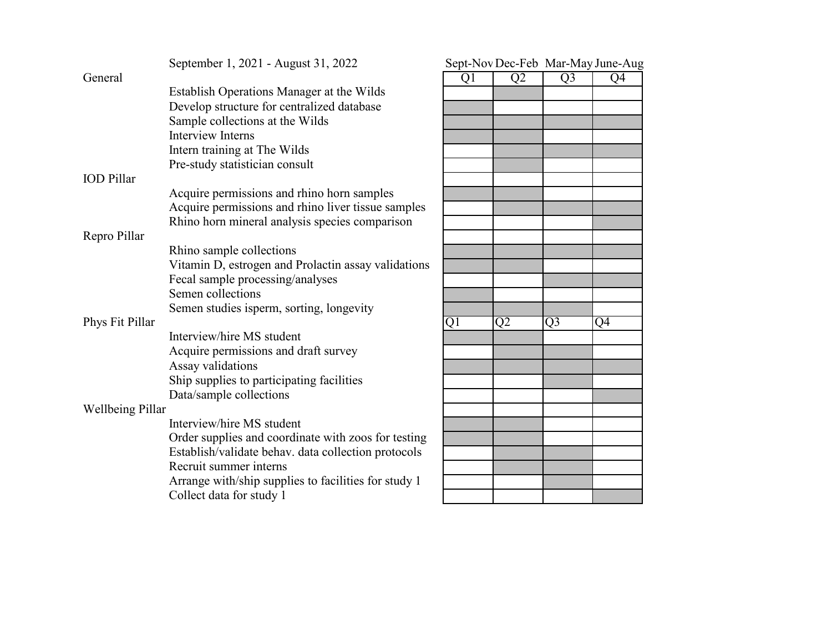|                         | September 1, 2021 - August 31, 2022                  |    |                |                | Sept-Nov Dec-Feb Mar-May June-Aug |
|-------------------------|------------------------------------------------------|----|----------------|----------------|-----------------------------------|
| General                 |                                                      | Q1 | Q <sub>2</sub> | Q <sub>3</sub> | Q4                                |
|                         | Establish Operations Manager at the Wilds            |    |                |                |                                   |
|                         | Develop structure for centralized database           |    |                |                |                                   |
|                         | Sample collections at the Wilds                      |    |                |                |                                   |
|                         | <b>Interview Interns</b>                             |    |                |                |                                   |
|                         | Intern training at The Wilds                         |    |                |                |                                   |
|                         | Pre-study statistician consult                       |    |                |                |                                   |
| <b>IOD</b> Pillar       |                                                      |    |                |                |                                   |
|                         | Acquire permissions and rhino horn samples           |    |                |                |                                   |
|                         | Acquire permissions and rhino liver tissue samples   |    |                |                |                                   |
|                         | Rhino horn mineral analysis species comparison       |    |                |                |                                   |
| Repro Pillar            |                                                      |    |                |                |                                   |
|                         | Rhino sample collections                             |    |                |                |                                   |
|                         | Vitamin D, estrogen and Prolactin assay validations  |    |                |                |                                   |
|                         | Fecal sample processing/analyses                     |    |                |                |                                   |
|                         | Semen collections                                    |    |                |                |                                   |
|                         | Semen studies isperm, sorting, longevity             |    |                |                |                                   |
| Phys Fit Pillar         |                                                      | Q1 | Q <sub>2</sub> | Q <sub>3</sub> | Q4                                |
|                         | Interview/hire MS student                            |    |                |                |                                   |
|                         | Acquire permissions and draft survey                 |    |                |                |                                   |
|                         | Assay validations                                    |    |                |                |                                   |
|                         | Ship supplies to participating facilities            |    |                |                |                                   |
|                         | Data/sample collections                              |    |                |                |                                   |
| <b>Wellbeing Pillar</b> |                                                      |    |                |                |                                   |
|                         | Interview/hire MS student                            |    |                |                |                                   |
|                         | Order supplies and coordinate with zoos for testing  |    |                |                |                                   |
|                         | Establish/validate behav. data collection protocols  |    |                |                |                                   |
|                         | Recruit summer interns                               |    |                |                |                                   |
|                         | Arrange with/ship supplies to facilities for study 1 |    |                |                |                                   |
|                         | Collect data for study 1                             |    |                |                |                                   |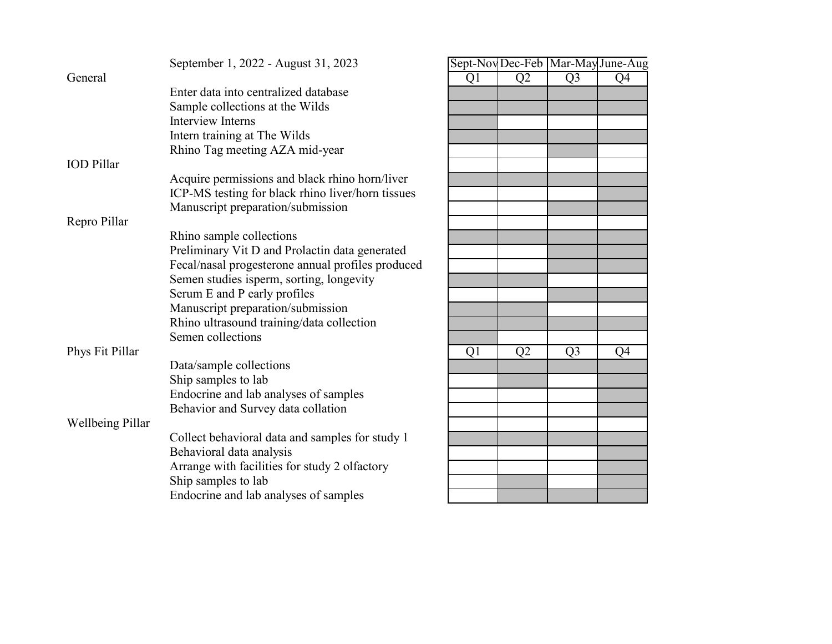|                         | September 1, 2022 - August 31, 2023               |                |                |                | Sept-Nov Dec-Feb   Mar-May June-Aug |
|-------------------------|---------------------------------------------------|----------------|----------------|----------------|-------------------------------------|
| General                 |                                                   | Q1             | Q <sub>2</sub> | Q <sub>3</sub> | Q4                                  |
|                         | Enter data into centralized database              |                |                |                |                                     |
|                         | Sample collections at the Wilds                   |                |                |                |                                     |
|                         | <b>Interview Interns</b>                          |                |                |                |                                     |
|                         | Intern training at The Wilds                      |                |                |                |                                     |
|                         | Rhino Tag meeting AZA mid-year                    |                |                |                |                                     |
| <b>IOD</b> Pillar       |                                                   |                |                |                |                                     |
|                         | Acquire permissions and black rhino horn/liver    |                |                |                |                                     |
|                         | ICP-MS testing for black rhino liver/horn tissues |                |                |                |                                     |
|                         | Manuscript preparation/submission                 |                |                |                |                                     |
| Repro Pillar            |                                                   |                |                |                |                                     |
|                         | Rhino sample collections                          |                |                |                |                                     |
|                         | Preliminary Vit D and Prolactin data generated    |                |                |                |                                     |
|                         | Fecal/nasal progesterone annual profiles produced |                |                |                |                                     |
|                         | Semen studies isperm, sorting, longevity          |                |                |                |                                     |
|                         | Serum E and P early profiles                      |                |                |                |                                     |
|                         | Manuscript preparation/submission                 |                |                |                |                                     |
|                         | Rhino ultrasound training/data collection         |                |                |                |                                     |
|                         | Semen collections                                 |                |                |                |                                     |
| Phys Fit Pillar         |                                                   | Q <sub>1</sub> | Q <sub>2</sub> | Q <sub>3</sub> | Q4                                  |
|                         | Data/sample collections                           |                |                |                |                                     |
|                         | Ship samples to lab                               |                |                |                |                                     |
|                         | Endocrine and lab analyses of samples             |                |                |                |                                     |
|                         | Behavior and Survey data collation                |                |                |                |                                     |
| <b>Wellbeing Pillar</b> |                                                   |                |                |                |                                     |
|                         | Collect behavioral data and samples for study 1   |                |                |                |                                     |
|                         | Behavioral data analysis                          |                |                |                |                                     |
|                         | Arrange with facilities for study 2 olfactory     |                |                |                |                                     |
|                         | Ship samples to lab                               |                |                |                |                                     |
|                         | Endocrine and lab analyses of samples             |                |                |                |                                     |